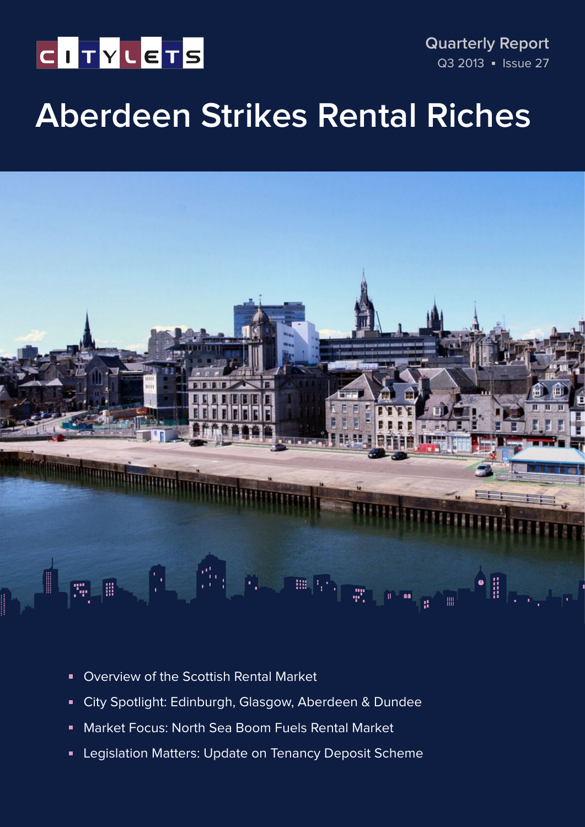# CITYLETS

**Quarterly Report** Q3 2013 • Issue 27

# **Aberdeen Strikes Rental Riches**



- **D** Overview of the Scottish Rental Market
- City Spotlight: Edinburgh, Glasgow, Aberdeen & Dundee
- Market Focus: North Sea Boom Fuels Rental Market  $\blacksquare$
- Legislation Matters: Update on Tenancy Deposit Scheme  $\blacksquare$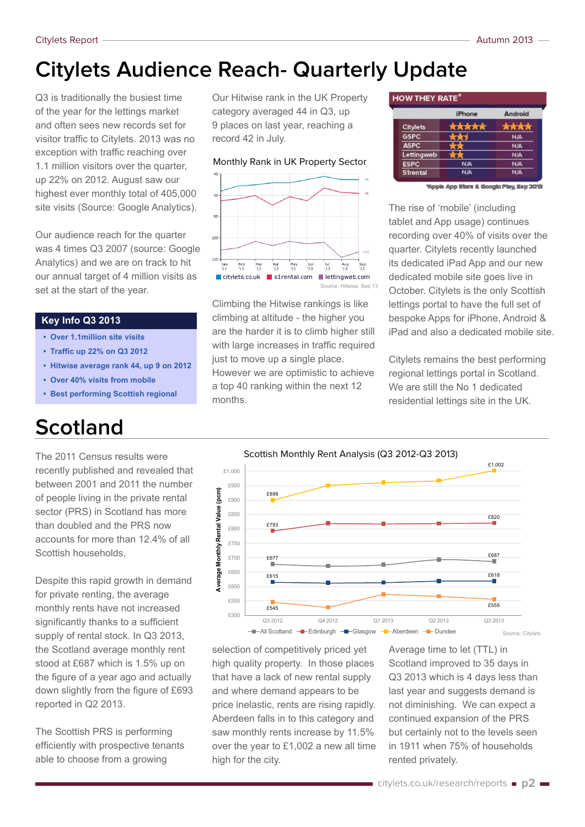### **Citylets Audience Reach- Quarterly Update**

Q3 is traditionally the busiest time of the year for the lettings market and often sees new records set for visitor traffic to Citylets. 2013 was no exception with traffic reaching over 1.1 million visitors over the quarter, up 22% on 2012. August saw our highest ever monthly total of 405,000 site visits (Source: Google Analytics).

Our audience reach for the quarter was 4 times Q3 2007 (source: Google Analytics) and we are on track to hit our annual target of 4 million visits as set at the start of the year.

#### **Key Info Q3 2013**

- **Over 1.1million site visits**
- **Traffic up 22% on Q3 2012**
- **Hitwise average rank 44, up 9 on 2012**
- **Over 40% visits from mobile**
- **Best performing Scottish regional**

### **Scotland**

The 2011 Census results were recently published and revealed that between 2001 and 2011 the number of people living in the private rental sector (PRS) in Scotland has more than doubled and the PRS now accounts for more than 12.4% of all Scottish households.

Despite this rapid growth in demand for private renting, the average monthly rents have not increased significantly thanks to a sufficient supply of rental stock. In Q3 2013, the Scotland average monthly rent stood at £687 which is 1.5% up on the figure of a year ago and actually down slightly from the figure of £693 reported in Q2 2013.

The Scottish PRS is performing efficiently with prospective tenants able to choose from a growing

Our Hitwise rank in the UK Property category averaged 44 in Q3, up 9 places on last year, reaching a record 42 in July.





Climbing the Hitwise rankings is like climbing at altitude - the higher you are the harder it is to climb higher still with large increases in traffic required just to move up a single place. However we are optimistic to achieve a top 40 ranking within the next 12 months.

#### **HOW THEY RATE\***

|                 | iPhone     | Android    |
|-----------------|------------|------------|
| Citylets        | 1.8.8.4    |            |
| <b>GSPC</b>     |            | <b>N/A</b> |
| <b>ASPC</b>     |            | <b>N/A</b> |
| Lettingweb      |            | <b>N/A</b> |
| <b>ESPC</b>     | NA.        | N/A        |
| <b>S1rental</b> | <b>N/A</b> | <b>N/A</b> |

'Apple App Store & Google Play, Sep 3013

The rise of 'mobile' (including tablet and App usage) continues recording over 40% of visits over the quarter. Citylets recently launched its dedicated iPad App and our new dedicated mobile site goes live in October. Citylets is the only Scottish lettings portal to have the full set of bespoke Apps for iPhone, Android & iPad and also a dedicated mobile site.

Citylets remains the best performing regional lettings portal in Scotland. We are still the No 1 dedicated residential lettings site in the UK.



selection of competitively priced yet high quality property. In those places that have a lack of new rental supply and where demand appears to be price inelastic, rents are rising rapidly. Aberdeen falls in to this category and saw monthly rents increase by 11.5% over the year to £1,002 a new all time high for the city.

Average time to let (TTL) in Scotland improved to 35 days in Q3 2013 which is 4 days less than last year and suggests demand is not diminishing. We can expect a continued expansion of the PRS but certainly not to the levels seen in 1911 when 75% of households rented privately.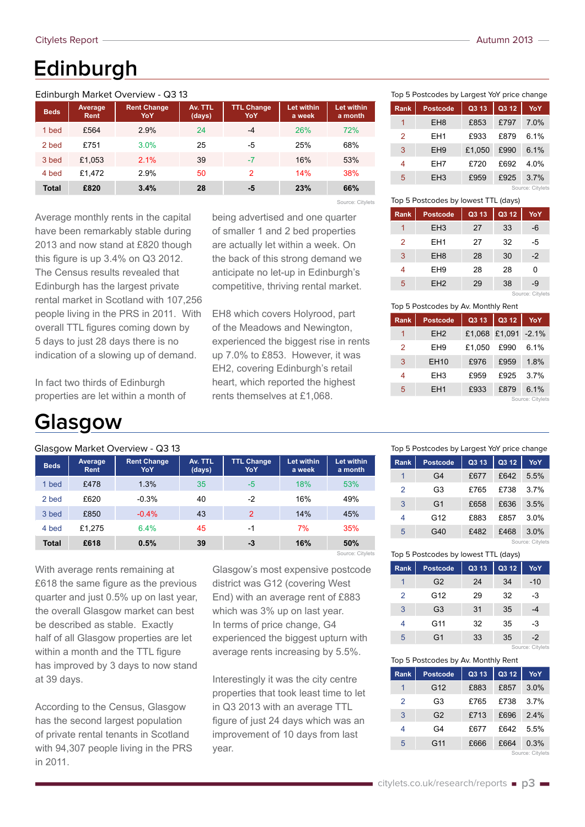## **Edinburgh**

#### Edinburgh Market Overview - Q3 13

| <b>Beds</b>  | Average,<br>Rent | <b>Rent Change</b><br>YoY | Av. TTL<br>(days) | <b>TTL Change</b><br>YoY | Let within<br>a week | <b>Let within</b><br>a month |
|--------------|------------------|---------------------------|-------------------|--------------------------|----------------------|------------------------------|
| 1 bed        | £564             | 2.9%                      | 24                | $-4$                     | 26%                  | 72%                          |
| 2 bed        | £751             | 3.0%                      | 25                | -5                       | 25%                  | 68%                          |
| 3 bed        | £1,053           | 2.1%                      | 39                | $-7$                     | 16%                  | 53%                          |
| 4 bed        | £1.472           | 2.9%                      | 50                | $\overline{2}$           | 14%                  | 38%                          |
| <b>Total</b> | £820             | 3.4%                      | 28                | -5                       | 23%                  | 66%                          |
|              |                  |                           |                   |                          |                      | Source: Citylets             |

Average monthly rents in the capital have been remarkably stable during 2013 and now stand at £820 though this figure is up 3.4% on Q3 2012. The Census results revealed that Edinburgh has the largest private rental market in Scotland with 107,256 people living in the PRS in 2011. With overall TTL figures coming down by 5 days to just 28 days there is no indication of a slowing up of demand.

In fact two thirds of Edinburgh properties are let within a month of

### **Glasgow**

#### Glasgow Market Overview - Q3 13

| <b>Beds</b>  | Average<br><b>Rent</b> | <b>Rent Change</b><br>YoY | Av. TTL<br>(days) | <b>TTL Change</b><br>YoY | Let within<br>a week | <b>Let within</b><br>a month |
|--------------|------------------------|---------------------------|-------------------|--------------------------|----------------------|------------------------------|
| 1 bed        | £478                   | 1.3%                      | 35                | $-5$                     | 18%                  | 53%                          |
| 2 bed        | £620                   | $-0.3%$                   | 40                | $-2$                     | 16%                  | 49%                          |
| 3 bed        | £850                   | $-0.4%$                   | 43                | $\overline{2}$           | 14%                  | 45%                          |
| 4 bed        | £1.275                 | 6.4%                      | 45                | $-1$                     | 7%                   | 35%                          |
| <b>Total</b> | £618                   | 0.5%                      | 39                | -3                       | 16%                  | 50%                          |
|              |                        |                           |                   |                          |                      | Source: Citylets             |

With average rents remaining at £618 the same figure as the previous quarter and just 0.5% up on last year, the overall Glasgow market can best be described as stable. Exactly half of all Glasgow properties are let within a month and the TTL figure has improved by 3 days to now stand at 39 days.

According to the Census, Glasgow has the second largest population of private rental tenants in Scotland with 94,307 people living in the PRS in 2011.

Glasgow's most expensive postcode district was G12 (covering West End) with an average rent of £883 which was 3% up on last year. In terms of price change, G4 experienced the biggest upturn with average rents increasing by 5.5%.

being advertised and one quarter of smaller 1 and 2 bed properties are actually let within a week. On the back of this strong demand we anticipate no let-up in Edinburgh's competitive, thriving rental market.

EH8 which covers Holyrood, part of the Meadows and Newington, experienced the biggest rise in rents up 7.0% to £853. However, it was EH2, covering Edinburgh's retail heart, which reported the highest rents themselves at £1,068.

Interestingly it was the city centre properties that took least time to let in Q3 2013 with an average TTL figure of just 24 days which was an improvement of 10 days from last year.

|  | Autumn 2013 |  |  |  |
|--|-------------|--|--|--|
|--|-------------|--|--|--|

|  | Top 5 Postcodes by Largest YoY price change |  |  |  |  |  |
|--|---------------------------------------------|--|--|--|--|--|
|--|---------------------------------------------|--|--|--|--|--|

| <b>Rank</b>   | <b>Postcode</b> | Q3 13  | Q3 12 | YoY              |
|---------------|-----------------|--------|-------|------------------|
| 1             | EH <sub>8</sub> | £853   | £797  | <b>70%</b>       |
| $\mathcal{P}$ | EH <sub>1</sub> | £933   | £879  | 6 1%             |
| 3             | EH <sub>9</sub> | £1.050 | £990  | 6.1%             |
| 4             | EH7             | £720   | £692  | 4 0 <sub>%</sub> |
| 5             | EH <sub>3</sub> | £959   | £925  | 37%              |
|               |                 |        |       | Source: Citylets |

Top 5 Postcodes by lowest TTL (days)

| <b>Rank</b> | <b>Postcode</b> | Q3 13 | Q3 12 | YoY              |
|-------------|-----------------|-------|-------|------------------|
|             | EH <sub>3</sub> | 27    | 33    | -6               |
| 2           | EH <sub>1</sub> | 27    | 32    | -5               |
| 3           | EH <sub>8</sub> | 28    | 30    | $-2$             |
| 4           | EH <sub>9</sub> | 28    | 28    | 0                |
| 5           | EH <sub>2</sub> | 29    | 38    | -9               |
|             |                 |       |       | Source: Citylets |

Top 5 Postcodes by Av. Monthly Rent

| <b>Rank</b>   | <b>Postcode</b> | Q3 13         | Q3 12 | YoY              |
|---------------|-----------------|---------------|-------|------------------|
| 1             | EH <sub>2</sub> | £1,068 £1,091 |       | $-2.1%$          |
| $\mathcal{P}$ | EH <sub>9</sub> | £1.050        | £990  | 6.1%             |
| 3             | EH10            | £976          | £959  | 1.8%             |
| 4             | EH <sub>3</sub> | £959          | £925  | 37%              |
| 5             | FH <sub>1</sub> | £933          | £879  | 61%              |
|               |                 |               |       | Source: Citylets |

| Top 5 Postcodes by Largest YoY price change |                |       |       |                  |  |  |
|---------------------------------------------|----------------|-------|-------|------------------|--|--|
| <b>Rank</b>                                 | Postcode       | Q3 13 | Q3 12 | YoY              |  |  |
| 1                                           | G4             | £677  | £642  | 5.5%             |  |  |
| $\mathcal{P}$                               | G3             | £765  | £738  | 37%              |  |  |
| 3                                           | G <sub>1</sub> | £658  | £636  | 3.5%             |  |  |
| 4                                           | G12            | £883  | £857  | 3.0%             |  |  |
| 5                                           | G40            | £482  | £468  | $3.0\%$          |  |  |
|                                             |                |       |       | Source: Citylets |  |  |

| Top 5 Postcodes by lowest TTL (days) |                |       |       |                  |  |  |
|--------------------------------------|----------------|-------|-------|------------------|--|--|
| <b>Rank</b>                          | Postcode       | Q3 13 | Q3 12 | YoY              |  |  |
|                                      | G2             | 24    | 34    | -10              |  |  |
| $\mathcal{P}$                        | G12            | 29    | 32    | -3               |  |  |
| 3                                    | G <sub>3</sub> | 31    | 35    |                  |  |  |
| 4                                    | G11            | 32    | 35    | -3               |  |  |
| 5                                    | G1             | 33    | 35    | $-2$             |  |  |
|                                      |                |       |       | Source: Citylets |  |  |



| <b>Rank</b> | Postcode        | Q3 13 | Q3 12 | YoY              |
|-------------|-----------------|-------|-------|------------------|
|             | G <sub>12</sub> | £883  | £857  | 3.0%             |
| 2           | G3              | £765  | £738  | 37%              |
| 3           | G <sub>2</sub>  | £713  | £696  | 2.4%             |
| 4           | G4              | £677  | £642  | 5.5%             |
| 5           | G11             | £666  | £664  | 0.3%             |
|             |                 |       |       | Source: Citylets |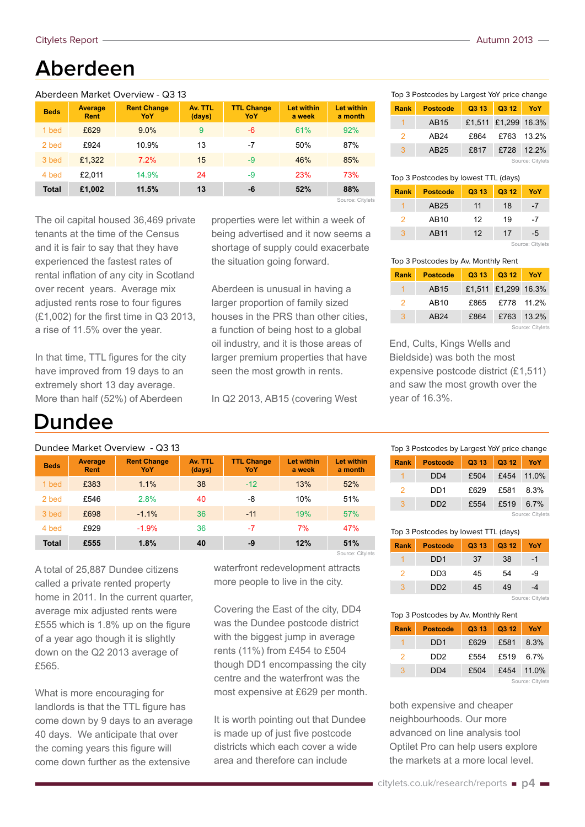### **Aberdeen**

#### Aberdeen Market Overview - Q3 13

| <b>Beds</b>  | Average<br>Rent | <b>Rent Change</b><br>YoY | Av. TTL<br>(days) | <b>TTL Change</b><br>YoY | Let within<br>a week | <b>Let within</b><br>a month |
|--------------|-----------------|---------------------------|-------------------|--------------------------|----------------------|------------------------------|
| 1 bed        | £629            | 9.0%                      | 9                 | -6                       | 61%                  | 92%                          |
| 2 bed        | £924            | 10.9%                     | 13                | -7                       | 50%                  | 87%                          |
| 3 bed        | £1.322          | 7.2%                      | 15                | $-9$                     | 46%                  | 85%                          |
| 4 bed        | £2.011          | 14.9%                     | 24                | -9                       | 23%                  | 73%                          |
| <b>Total</b> | £1,002          | 11.5%                     | 13                | -6                       | 52%                  | 88%                          |
|              |                 |                           |                   |                          |                      | Source: Citylets             |

The oil capital housed 36,469 private tenants at the time of the Census and it is fair to say that they have experienced the fastest rates of rental inflation of any city in Scotland over recent years. Average mix adjusted rents rose to four figures (£1,002) for the first time in Q3 2013, a rise of 11.5% over the year.

In that time, TTL figures for the city have improved from 19 days to an extremely short 13 day average. More than half (52%) of Aberdeen

### **Dundee**

#### Dundee Market Overview - Q3 13

| <b>Beds</b>  | Average<br><b>Rent</b> | <b>Rent Change</b><br>YoY | Av. TTL<br>(days) | <b>TTL Change</b><br>YoY | <b>Let within</b><br>a week | <b>Let within</b><br>a month |
|--------------|------------------------|---------------------------|-------------------|--------------------------|-----------------------------|------------------------------|
| 1 bed        | £383                   | 1.1%                      | 38                | $-12$                    | 13%                         | 52%                          |
| 2 bed        | £546                   | 2.8%                      | 40                | -8                       | 10%                         | 51%                          |
| 3 bed        | £698                   | $-1.1\%$                  | 36                | $-11$                    | 19%                         | 57%                          |
| 4 bed        | £929                   | $-1.9%$                   | 36                | -7                       | 7%                          | 47%                          |
| <b>Total</b> | £555                   | 1.8%                      | 40                | -9                       | 12%                         | 51%                          |

A total of 25,887 Dundee citizens called a private rented property home in 2011. In the current quarter, average mix adjusted rents were £555 which is 1.8% up on the figure of a year ago though it is slightly down on the Q2 2013 average of £565.

What is more encouraging for landlords is that the TTL figure has come down by 9 days to an average 40 days. We anticipate that over the coming years this figure will come down further as the extensive

waterfront redevelopment attracts more people to live in the city.

Source: Citylets

properties were let within a week of being advertised and it now seems a shortage of supply could exacerbate

the situation going forward.

Aberdeen is unusual in having a larger proportion of family sized houses in the PRS than other cities, a function of being host to a global oil industry, and it is those areas of larger premium properties that have seen the most growth in rents.

In Q2 2013, AB15 (covering West

Covering the East of the city, DD4 was the Dundee postcode district with the biggest jump in average rents (11%) from £454 to £504 though DD1 encompassing the city centre and the waterfront was the most expensive at £629 per month.

It is worth pointing out that Dundee is made up of just five postcode districts which each cover a wide area and therefore can include

Top 3 Postcodes by Largest YoY price change

| Rank           | <b>Postcode</b>  | Q3 13 | Q3 12               | YoY |  |
|----------------|------------------|-------|---------------------|-----|--|
|                | AB15             |       | £1,511 £1,299 16.3% |     |  |
| $\overline{2}$ | AB24             | £864  | £763 13.2%          |     |  |
| 3              | AB <sub>25</sub> | £817  | £728 12.2%          |     |  |
|                | Source: Citylets |       |                     |     |  |

| Top 3 Postcodes by lowest TTL (days) |                 |       |       |     |  |
|--------------------------------------|-----------------|-------|-------|-----|--|
| Rank                                 | <b>Postcode</b> | Q3 13 | Q3 12 | YoY |  |
|                                      | AB25            | 11    | 18    | -7  |  |
| $\mathcal{P}$                        | AB10            | 12    | 19    | -7  |  |
| 3                                    | AB11            | 12    | 17    | -5  |  |
| Source: Citylets                     |                 |       |       |     |  |

Top 3 Postcodes by Av. Monthly Rent

| <b>Rank</b>      | <b>Postcode</b> | Q3 13 |                     | Q3 12 YoY |  |  |
|------------------|-----------------|-------|---------------------|-----------|--|--|
|                  | AB15            |       | £1,511 £1,299 16.3% |           |  |  |
| $\mathcal{P}$    | AB10            | £865  | £778 11.2%          |           |  |  |
| 3                | AB24            | £864  | £763 13.2%          |           |  |  |
| Source: Citylets |                 |       |                     |           |  |  |

End, Cults, Kings Wells and Bieldside) was both the most expensive postcode district (£1,511) and saw the most growth over the year of 16.3%.

| Top 3 Postcodes by Largest YoY price change |                 |       |       |          |  |
|---------------------------------------------|-----------------|-------|-------|----------|--|
| Rank                                        | <b>Postcode</b> | Q3 13 | Q3 12 | YoY      |  |
|                                             | DD4             | £504  | £454  | $11.0\%$ |  |
| 2                                           | DD1             | £629  | £581  | 8.3%     |  |
| З                                           | DD2             | £554  | £519  | 67%      |  |
| Source: Citylets                            |                 |       |       |          |  |

| Top 3 Postcodes by lowest TTL (days) |  |  |
|--------------------------------------|--|--|
|                                      |  |  |

| <b>Rank</b> | <b>Postcode</b>             | Q3 13 | Q3 12 | YoY              |
|-------------|-----------------------------|-------|-------|------------------|
|             | DD <sub>1</sub>             | 37    | 38    | -1               |
| 2           | D <sub>D</sub> 3            | 45    | 54    | -9               |
| 3           | D <sub>D</sub> <sub>2</sub> | 45    | 49    |                  |
|             |                             |       |       | Source: Citylets |

Top 3 Postcodes by Av. Monthly Rent

| <b>Rank</b>    | <b>Postcode</b>  | Q3 13 | Q3 12 | YoY        |  |
|----------------|------------------|-------|-------|------------|--|
|                | D <sub>D</sub> 1 | £629  | £581  | 8.3%       |  |
| $\overline{2}$ | DD <sub>2</sub>  | £554  | £519  | 6.7%       |  |
| 3              | DD <sub>4</sub>  | £504  |       | £454 11.0% |  |
|                | Source: Citylets |       |       |            |  |

both expensive and cheaper neighbourhoods. Our more advanced on line analysis tool Optilet Pro can help users explore the markets at a more local level.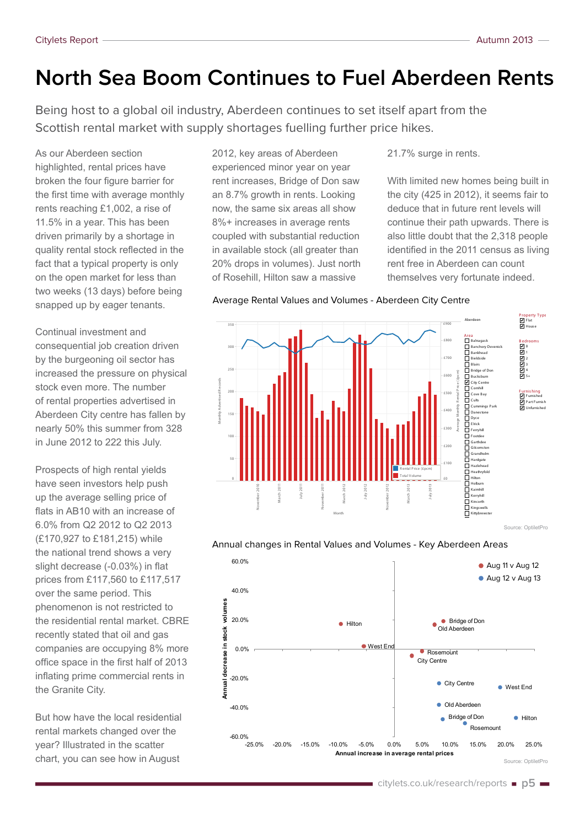## **North Sea Boom Continues to Fuel Aberdeen Rents**

Being host to a global oil industry, Aberdeen continues to set itself apart from the Scottish rental market with supply shortages fuelling further price hikes.

As our Aberdeen section highlighted, rental prices have broken the four figure barrier for the first time with average monthly rents reaching £1,002, a rise of 11.5% in a year. This has been driven primarily by a shortage in quality rental stock reflected in the fact that a typical property is only on the open market for less than two weeks (13 days) before being snapped up by eager tenants.

Continual investment and consequential job creation driven by the burgeoning oil sector has increased the pressure on physical stock even more. The number of rental properties advertised in Aberdeen City centre has fallen by nearly 50% this summer from 328 in June 2012 to 222 this July.

Prospects of high rental yields have seen investors help push up the average selling price of flats in AB10 with an increase of 6.0% from Q2 2012 to Q2 2013 (£170,927 to £181,215) while the national trend shows a very slight decrease (-0.03%) in flat prices from £117,560 to £117,517 over the same period. This phenomenon is not restricted to the residential rental market. CBRE recently stated that oil and gas companies are occupying 8% more office space in the first half of 2013 inflating prime commercial rents in the Granite City.

But how have the local residential rental markets changed over the year? Illustrated in the scatter chart, you can see how in August

2012, key areas of Aberdeen experienced minor year on year rent increases, Bridge of Don saw an 8.7% growth in rents. Looking now, the same six areas all show 8%+ increases in average rents coupled with substantial reduction in available stock (all greater than 20% drops in volumes). Just north of Rosehill, Hilton saw a massive

21.7% surge in rents.

With limited new homes being built in the city (425 in 2012), it seems fair to deduce that in future rent levels will continue their path upwards. There is also little doubt that the 2,318 people identified in the 2011 census as living rent free in Aberdeen can count themselves very fortunate indeed.

#### Average Rental Values and Volumes - Aberdeen City Centre



#### Annual changes in Rental Values and Volumes - Key Aberdeen Areas

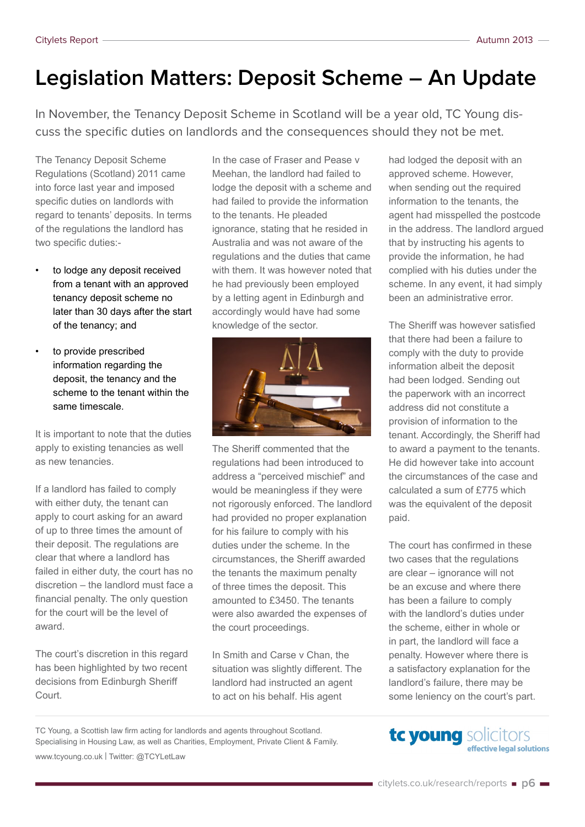## **Legislation Matters: Deposit Scheme – An Update**

In November, the Tenancy Deposit Scheme in Scotland will be a year old, TC Young discuss the specific duties on landlords and the consequences should they not be met.

The Tenancy Deposit Scheme Regulations (Scotland) 2011 came into force last year and imposed specific duties on landlords with regard to tenants' deposits. In terms of the regulations the landlord has two specific duties:-

- to lodge any deposit received from a tenant with an approved tenancy deposit scheme no later than 30 days after the start of the tenancy; and
- to provide prescribed information regarding the deposit, the tenancy and the scheme to the tenant within the same timescale.

It is important to note that the duties apply to existing tenancies as well as new tenancies.

If a landlord has failed to comply with either duty, the tenant can apply to court asking for an award of up to three times the amount of their deposit. The regulations are clear that where a landlord has failed in either duty, the court has no discretion – the landlord must face a financial penalty. The only question for the court will be the level of award.

The court's discretion in this regard has been highlighted by two recent decisions from Edinburgh Sheriff Court.

In the case of Fraser and Pease v Meehan, the landlord had failed to lodge the deposit with a scheme and had failed to provide the information to the tenants. He pleaded ignorance, stating that he resided in Australia and was not aware of the regulations and the duties that came with them. It was however noted that he had previously been employed by a letting agent in Edinburgh and accordingly would have had some knowledge of the sector.



The Sheriff commented that the regulations had been introduced to address a "perceived mischief" and would be meaningless if they were not rigorously enforced. The landlord had provided no proper explanation for his failure to comply with his duties under the scheme. In the circumstances, the Sheriff awarded the tenants the maximum penalty of three times the deposit. This amounted to £3450. The tenants were also awarded the expenses of the court proceedings.

In Smith and Carse v Chan, the situation was slightly different. The landlord had instructed an agent to act on his behalf. His agent

had lodged the deposit with an approved scheme. However, when sending out the required information to the tenants, the agent had misspelled the postcode in the address. The landlord argued that by instructing his agents to provide the information, he had complied with his duties under the scheme. In any event, it had simply been an administrative error.

The Sheriff was however satisfied that there had been a failure to comply with the duty to provide information albeit the deposit had been lodged. Sending out the paperwork with an incorrect address did not constitute a provision of information to the tenant. Accordingly, the Sheriff had to award a payment to the tenants. He did however take into account the circumstances of the case and calculated a sum of £775 which was the equivalent of the deposit paid.

The court has confirmed in these two cases that the regulations are clear – ignorance will not be an excuse and where there has been a failure to comply with the landlord's duties under the scheme, either in whole or in part, the landlord will face a penalty. However where there is a satisfactory explanation for the landlord's failure, there may be some leniency on the court's part.

TC Young, a Scottish law firm acting for landlords and agents throughout Scotland. Specialising in Housing Law, as well as Charities, Employment, Private Client & Family. [www.tcyoung.co.uk](http://www.tcyoung.co.uk) | Twitter: [@TCYLetLaw](https://twitter.com/TCYLetLaw)

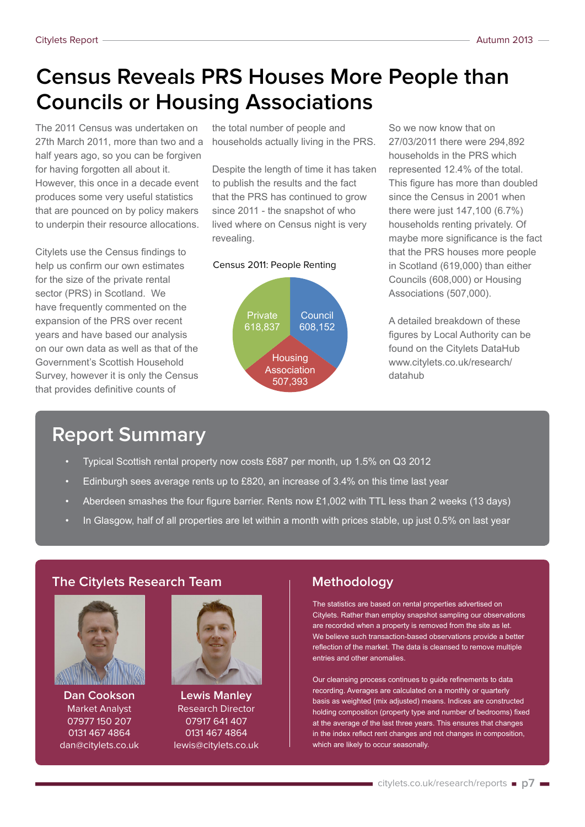## **Census Reveals PRS Houses More People than Councils or Housing Associations**

The 2011 Census was undertaken on 27th March 2011, more than two and a half years ago, so you can be forgiven for having forgotten all about it. However, this once in a decade event produces some very useful statistics that are pounced on by policy makers to underpin their resource allocations.

Citylets use the Census findings to help us confirm our own estimates for the size of the private rental sector (PRS) in Scotland. We have frequently commented on the expansion of the PRS over recent years and have based our analysis on our own data as well as that of the Government's Scottish Household Survey, however it is only the Census that provides definitive counts of

the total number of people and households actually living in the PRS.

Despite the length of time it has taken to publish the results and the fact that the PRS has continued to grow since 2011 - the snapshot of who lived where on Census night is very revealing.

#### Census 2011: People Renting



So we now know that on 27/03/2011 there were 294,892 households in the PRS which represented 12.4% of the total. This figure has more than doubled since the Census in 2001 when there were just 147,100 (6.7%) households renting privately. Of maybe more significance is the fact that the PRS houses more people in Scotland (619,000) than either Councils (608,000) or Housing Associations (507,000).

A detailed breakdown of these figures by Local Authority can be found on the Citylets DataHub [www.citylets.co.uk/research/](http://www.citylets.co.uk/research/datahub/) [datahub](http://www.citylets.co.uk/research/datahub/)

### **Report Summary**

- Typical Scottish rental property now costs £687 per month, up 1.5% on Q3 2012
- Edinburgh sees average rents up to £820, an increase of  $3.4\%$  on this time last year
- Aberdeen smashes the four figure barrier. Rents now £1,002 with TTL less than 2 weeks (13 days)
- In Glasgow, half of all properties are let within a month with prices stable, up just 0.5% on last year

#### **The Citylets Research Team**



**Dan Cookson** Market Analyst 07977 150 207 0131 467 4864 [dan@citylets.co.uk](mailto:dan%40citylets.co.uk?subject=Email%20from%20Citylets%20Report)



**Lewis Manley** Research Director 07917 641 407 0131 467 4864 [lewis@citylets.co.uk](mailto:lewis%40citylets.co.uk?subject=Email%20from%20Citylets%20Report)

#### **Methodology**

The statistics are based on rental properties advertised on Citylets. Rather than employ snapshot sampling our observations are recorded when a property is removed from the site as let. We believe such transaction-based observations provide a better reflection of the market. The data is cleansed to remove multiple entries and other anomalies.

Our cleansing process continues to guide refinements to data recording. Averages are calculated on a monthly or quarterly basis as weighted (mix adjusted) means. Indices are constructed holding composition (property type and number of bedrooms) fixed at the average of the last three years. This ensures that changes in the index reflect rent changes and not changes in composition, which are likely to occur seasonally.